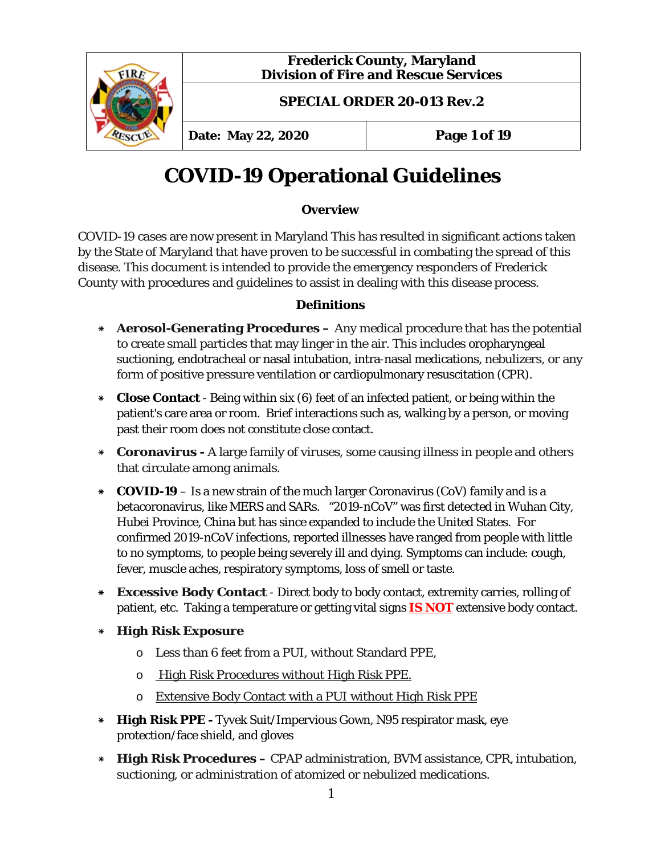

# **COVID-19 Operational Guidelines**

## **Overview**

COVID-19 cases are now present in Maryland This has resulted in significant actions taken by the State of Maryland that have proven to be successful in combating the spread of this disease. This document is intended to provide the emergency responders of Frederick County with procedures and guidelines to assist in dealing with this disease process.

## **Definitions**

- \* **Aerosol-Generating Procedures –** Any medical procedure that has the potential to create small particles that may linger in the air. This includes oropharyngeal suctioning, endotracheal or nasal intubation, intra-nasal medications, nebulizers, or any form of positive pressure ventilation or cardiopulmonary resuscitation (CPR).
- \* **Close Contact** Being within six (6) feet of an infected patient, or being within the patient's care area or room. Brief interactions such as, walking by a person, or moving past their room does not constitute close contact.
- \* **Coronavirus -** A large family of viruses, some causing illness in people and others that circulate among animals.
- \* **COVID-19** Is a new strain of the much larger Coronavirus (CoV) family and is a betacoronavirus, like MERS and SARs. "2019-nCoV" was first detected in Wuhan City, Hubei Province, China but has since expanded to include the United States. For confirmed 2019-nCoV infections, reported illnesses have ranged from people with little to no symptoms, to people being severely ill and dying. Symptoms can include: cough, fever, muscle aches, respiratory symptoms, loss of smell or taste.
- \* **Excessive Body Contact**  Direct body to body contact, extremity carries, rolling of patient, etc. Taking a temperature or getting vital signs **IS NOT** extensive body contact.
- \* **High Risk Exposure** 
	- o Less than 6 feet from a PUI, without Standard PPE,
	- o High Risk Procedures without High Risk PPE.
	- o Extensive Body Contact with a PUI without High Risk PPE
- \* **High Risk PPE -** Tyvek Suit/Impervious Gown, N95 respirator mask, eye protection/face shield, and gloves
- \* **High Risk Procedures –** CPAP administration, BVM assistance, CPR, intubation, suctioning, or administration of atomized or nebulized medications.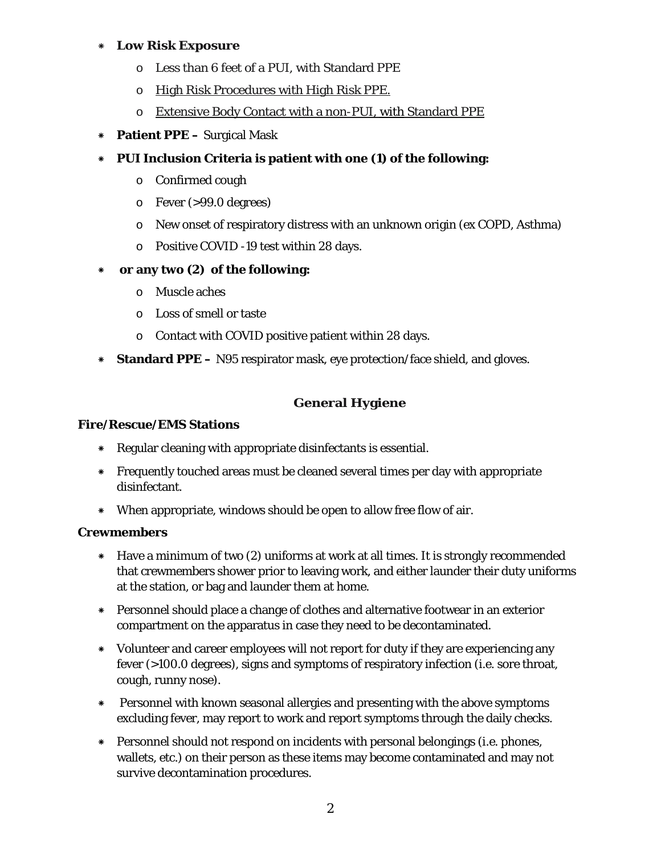## \* **Low Risk Exposure**

- o Less than 6 feet of a PUI, with Standard PPE
- o High Risk Procedures with High Risk PPE.
- o Extensive Body Contact with a non-PUI, with Standard PPE
- \* **Patient PPE –** Surgical Mask
- \* **PUI Inclusion Criteria is patient with one (1) of the following:**
	- o Confirmed cough
	- $\circ$  Fever (>99.0 degrees)
	- o New onset of respiratory distress with an unknown origin (ex COPD, Asthma)
	- o Positive COVID -19 test within 28 days.
- \* **or any two (2) of the following:**
	- o Muscle aches
	- o Loss of smell or taste
	- o Contact with COVID positive patient within 28 days.
- \* **Standard PPE –** N95 respirator mask, eye protection/face shield, and gloves.

## **General Hygiene**

## **Fire/Rescue/EMS Stations**

- \* Regular cleaning with appropriate disinfectants is essential.
- \* Frequently touched areas must be cleaned several times per day with appropriate disinfectant.
- \* When appropriate, windows should be open to allow free flow of air.

## **Crewmembers**

- \* Have a minimum of two (2) uniforms at work at all times. It is strongly recommended that crewmembers shower prior to leaving work, and either launder their duty uniforms at the station, or bag and launder them at home.
- \* Personnel should place a change of clothes and alternative footwear in an exterior compartment on the apparatus in case they need to be decontaminated.
- \* Volunteer and career employees will not report for duty if they are experiencing any fever (>100.0 degrees), signs and symptoms of respiratory infection (i.e. sore throat, cough, runny nose).
- \* Personnel with known seasonal allergies and presenting with the above symptoms excluding fever, may report to work and report symptoms through the daily checks.
- \* Personnel should not respond on incidents with personal belongings (i.e. phones, wallets, etc.) on their person as these items may become contaminated and may not survive decontamination procedures.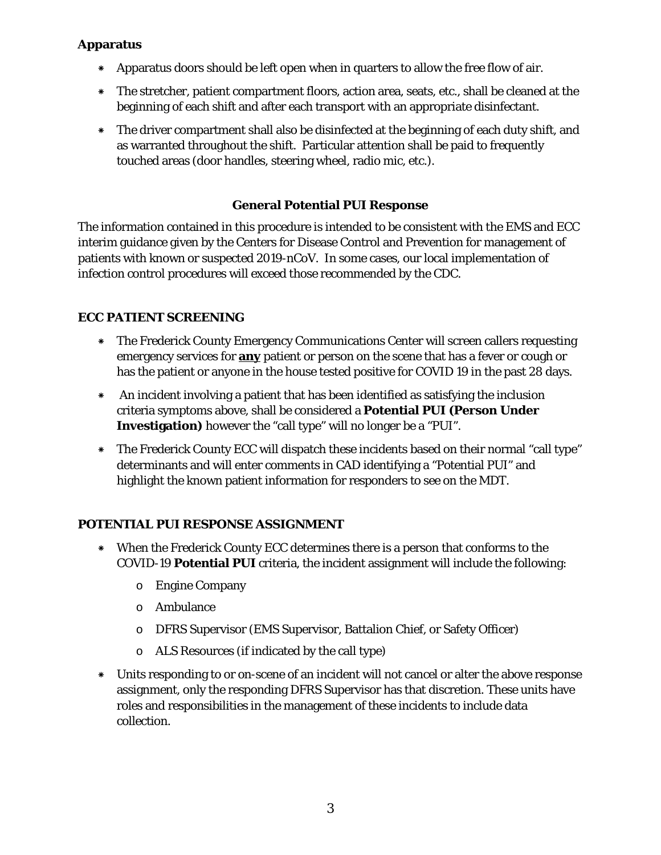## **Apparatus**

- \* Apparatus doors should be left open when in quarters to allow the free flow of air.
- \* The stretcher, patient compartment floors, action area, seats, etc., shall be cleaned at the beginning of each shift and after each transport with an appropriate disinfectant.
- \* The driver compartment shall also be disinfected at the beginning of each duty shift, and as warranted throughout the shift. Particular attention shall be paid to frequently touched areas (door handles, steering wheel, radio mic, etc.).

## **General Potential PUI Response**

The information contained in this procedure is intended to be consistent with the EMS and ECC interim guidance given by the Centers for Disease Control and Prevention for management of patients with known or suspected 2019-nCoV. In some cases, our local implementation of infection control procedures will exceed those recommended by the CDC.

## **ECC PATIENT SCREENING**

- \* The Frederick County Emergency Communications Center will screen callers requesting emergency services for **any** patient or person on the scene that has a fever or cough or has the patient or anyone in the house tested positive for COVID 19 in the past 28 days.
- \* An incident involving a patient that has been identified as satisfying the inclusion criteria symptoms above, shall be considered a **Potential PUI (Person Under Investigation)** however the "call type" will no longer be a "PUI".
- \* The Frederick County ECC will dispatch these incidents based on their normal "call type" determinants and will enter comments in CAD identifying a "Potential PUI" and highlight the known patient information for responders to see on the MDT.

## **POTENTIAL PUI RESPONSE ASSIGNMENT**

- \* When the Frederick County ECC determines there is a person that conforms to the COVID-19 **Potential PUI** criteria, the incident assignment will include the following:
	- o Engine Company
	- o Ambulance
	- o DFRS Supervisor (EMS Supervisor, Battalion Chief, or Safety Officer)
	- o ALS Resources (if indicated by the call type)
- \* Units responding to or on-scene of an incident will not cancel or alter the above response assignment, only the responding DFRS Supervisor has that discretion. These units have roles and responsibilities in the management of these incidents to include data collection.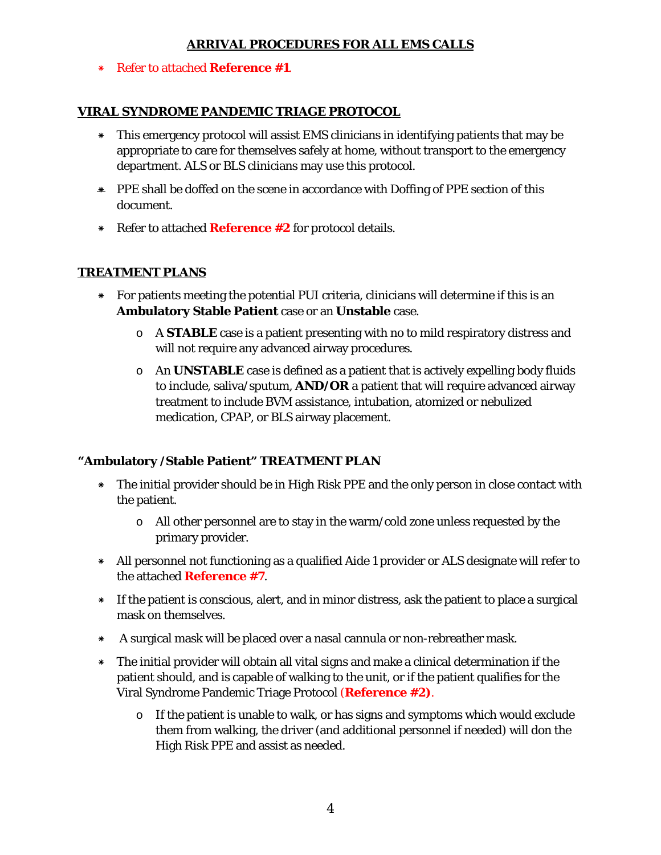## **ARRIVAL PROCEDURES FOR ALL EMS CALLS**

\* Refer to attached **Reference #1**.

## **VIRAL SYNDROME PANDEMIC TRIAGE PROTOCOL**

- \* This emergency protocol will assist EMS clinicians in identifying patients that may be appropriate to care for themselves safely at home, without transport to the emergency department. ALS or BLS clinicians may use this protocol.
- \* PPE shall be doffed on the scene in accordance with Doffing of PPE section of this document.
- \* Refer to attached **Reference #2** for protocol details.

## **TREATMENT PLANS**

- \* For patients meeting the potential PUI criteria, clinicians will determine if this is an **Ambulatory Stable Patient** case or an **Unstable** case.
	- o A **STABLE** case is a patient presenting with no to mild respiratory distress and will not require any advanced airway procedures.
	- o An **UNSTABLE** case is defined as a patient that is actively expelling body fluids to include, saliva/sputum, **AND/OR** a patient that will require advanced airway treatment to include BVM assistance, intubation, atomized or nebulized medication, CPAP, or BLS airway placement.

## **"Ambulatory /Stable Patient" TREATMENT PLAN**

- \* The initial provider should be in High Risk PPE and the only person in close contact with the patient.
	- o All other personnel are to stay in the warm/cold zone unless requested by the primary provider.
- \* All personnel not functioning as a qualified Aide 1 provider or ALS designate will refer to the attached **Reference #7**.
- \* If the patient is conscious, alert, and in minor distress, ask the patient to place a surgical mask on themselves.
- \* A surgical mask will be placed over a nasal cannula or non-rebreather mask.
- \* The initial provider will obtain all vital signs and make a clinical determination if the patient should, and is capable of walking to the unit, or if the patient qualifies for the Viral Syndrome Pandemic Triage Protocol (**Reference #2)**.
	- $\circ$  If the patient is unable to walk, or has signs and symptoms which would exclude them from walking, the driver (and additional personnel if needed) will don the High Risk PPE and assist as needed.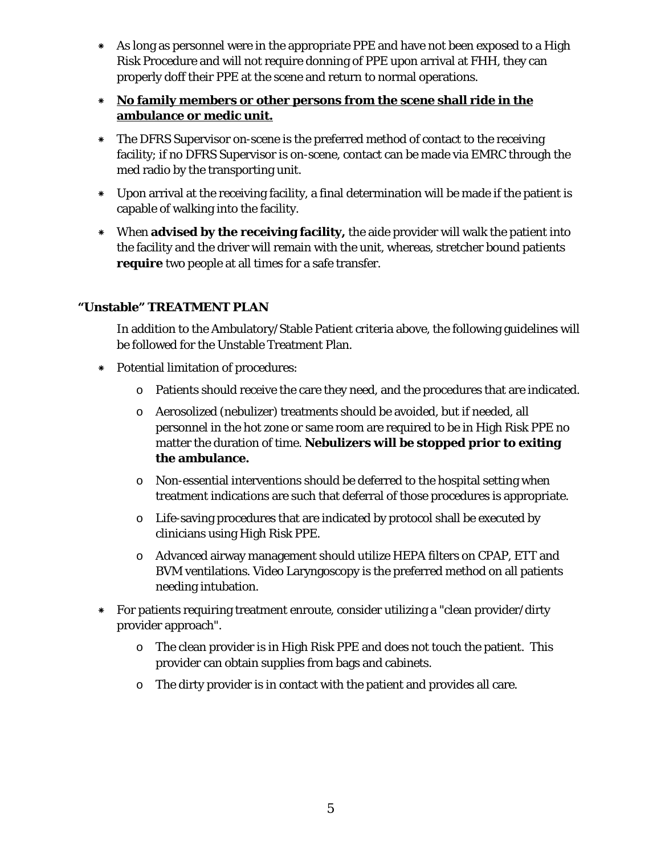\* As long as personnel were in the appropriate PPE and have not been exposed to a High Risk Procedure and will not require donning of PPE upon arrival at FHH, they can properly doff their PPE at the scene and return to normal operations.

## \* **No family members or other persons from the scene shall ride in the ambulance or medic unit.**

- \* The DFRS Supervisor on-scene is the preferred method of contact to the receiving facility; if no DFRS Supervisor is on-scene, contact can be made via EMRC through the med radio by the transporting unit.
- \* Upon arrival at the receiving facility, a final determination will be made if the patient is capable of walking into the facility.
- \* When **advised by the receiving facility,** the aide provider will walk the patient into the facility and the driver will remain with the unit, whereas, stretcher bound patients **require** two people at all times for a safe transfer.

## **"Unstable" TREATMENT PLAN**

In addition to the Ambulatory/Stable Patient criteria above, the following guidelines will be followed for the Unstable Treatment Plan.

- \* Potential limitation of procedures:
	- o Patients should receive the care they need, and the procedures that are indicated.
	- o Aerosolized (nebulizer) treatments should be avoided, but if needed, all personnel in the hot zone or same room are required to be in High Risk PPE no matter the duration of time. **Nebulizers will be stopped prior to exiting the ambulance.**
	- o Non-essential interventions should be deferred to the hospital setting when treatment indications are such that deferral of those procedures is appropriate.
	- o Life-saving procedures that are indicated by protocol shall be executed by clinicians using High Risk PPE.
	- o Advanced airway management should utilize HEPA filters on CPAP, ETT and BVM ventilations. Video Laryngoscopy is the preferred method on all patients needing intubation.
- \* For patients requiring treatment enroute, consider utilizing a "clean provider/dirty provider approach".
	- $\circ$  The clean provider is in High Risk PPE and does not touch the patient. This provider can obtain supplies from bags and cabinets.
	- o The dirty provider is in contact with the patient and provides all care.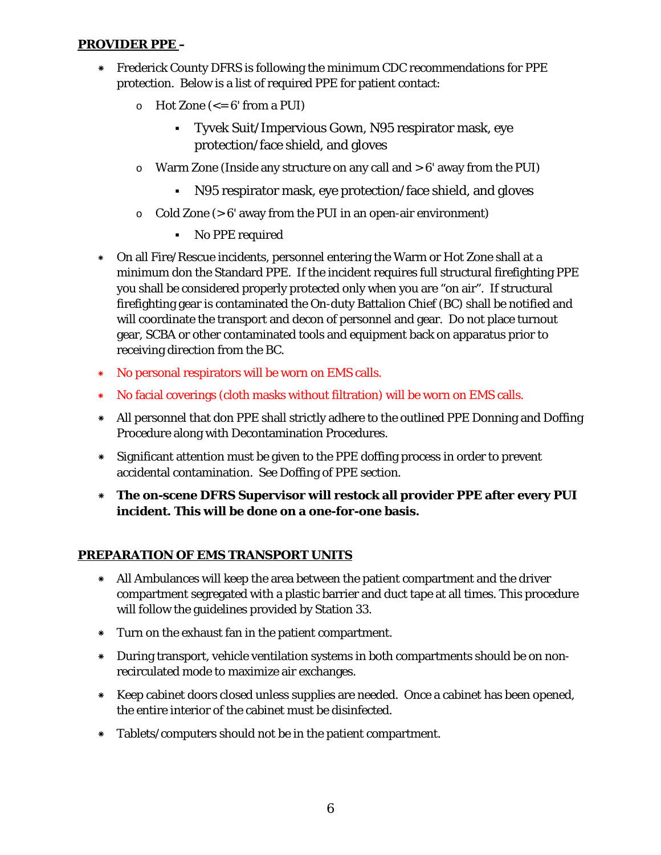## **PROVIDER PPE –**

- \* Frederick County DFRS is following the minimum CDC recommendations for PPE protection. Below is a list of required PPE for patient contact:
	- $\circ$  Hot Zone ( $\leq$ = 6' from a PUI)
		- Tyvek Suit/Impervious Gown, N95 respirator mask, eye protection/face shield, and gloves
	- $\circ$  Warm Zone (Inside any structure on any call and  $> 6'$  away from the PUI)
		- N95 respirator mask, eye protection/face shield, and gloves
	- $\circ$  Cold Zone (> 6' away from the PUI in an open-air environment)
		- No PPE required
- \* On all Fire/Rescue incidents, personnel entering the Warm or Hot Zone shall at a minimum don the Standard PPE. If the incident requires full structural firefighting PPE you shall be considered properly protected only when you are "on air". If structural firefighting gear is contaminated the On-duty Battalion Chief (BC) shall be notified and will coordinate the transport and decon of personnel and gear. Do not place turnout gear, SCBA or other contaminated tools and equipment back on apparatus prior to receiving direction from the BC.
- \* No personal respirators will be worn on EMS calls.
- \* No facial coverings (cloth masks without filtration) will be worn on EMS calls.
- \* All personnel that don PPE shall strictly adhere to the outlined PPE Donning and Doffing Procedure along with Decontamination Procedures.
- \* Significant attention must be given to the PPE doffing process in order to prevent accidental contamination. See Doffing of PPE section.
- \* **The on-scene DFRS Supervisor will restock all provider PPE after every PUI incident. This will be done on a one-for-one basis.**

## **PREPARATION OF EMS TRANSPORT UNITS**

- \* All Ambulances will keep the area between the patient compartment and the driver compartment segregated with a plastic barrier and duct tape at all times. This procedure will follow the guidelines provided by Station 33.
- \* Turn on the exhaust fan in the patient compartment.
- \* During transport, vehicle ventilation systems in both compartments should be on nonrecirculated mode to maximize air exchanges.
- \* Keep cabinet doors closed unless supplies are needed. Once a cabinet has been opened, the entire interior of the cabinet must be disinfected.
- \* Tablets/computers should not be in the patient compartment.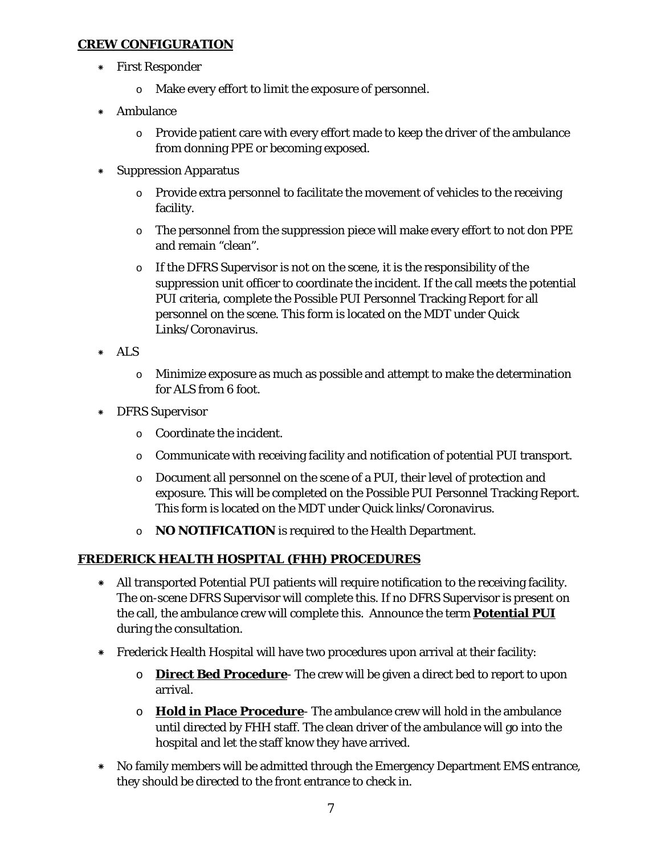## **CREW CONFIGURATION**

- \* First Responder
	- o Make every effort to limit the exposure of personnel.
- \* Ambulance
	- o Provide patient care with every effort made to keep the driver of the ambulance from donning PPE or becoming exposed.
- \* Suppression Apparatus
	- $\circ$  Provide extra personnel to facilitate the movement of vehicles to the receiving facility.
	- o The personnel from the suppression piece will make every effort to not don PPE and remain "clean".
	- o If the DFRS Supervisor is not on the scene, it is the responsibility of the suppression unit officer to coordinate the incident. If the call meets the potential PUI criteria, complete the Possible PUI Personnel Tracking Report for all personnel on the scene. This form is located on the MDT under Quick Links/Coronavirus.
- \* ALS
	- o Minimize exposure as much as possible and attempt to make the determination for ALS from 6 foot.
- \* DFRS Supervisor
	- o Coordinate the incident.
	- o Communicate with receiving facility and notification of potential PUI transport.
	- o Document all personnel on the scene of a PUI, their level of protection and exposure. This will be completed on the Possible PUI Personnel Tracking Report. This form is located on the MDT under Quick links/Coronavirus.
	- o **NO NOTIFICATION** is required to the Health Department.

## **FREDERICK HEALTH HOSPITAL (FHH) PROCEDURES**

- \* All transported Potential PUI patients will require notification to the receiving facility. The on-scene DFRS Supervisor will complete this. If no DFRS Supervisor is present on the call, the ambulance crew will complete this. Announce the term **Potential PUI** during the consultation.
- \* Frederick Health Hospital will have two procedures upon arrival at their facility:
	- o **Direct Bed Procedure** The crew will be given a direct bed to report to upon arrival.
	- o **Hold in Place Procedure** The ambulance crew will hold in the ambulance until directed by FHH staff. The clean driver of the ambulance will go into the hospital and let the staff know they have arrived.
- \* No family members will be admitted through the Emergency Department EMS entrance, they should be directed to the front entrance to check in.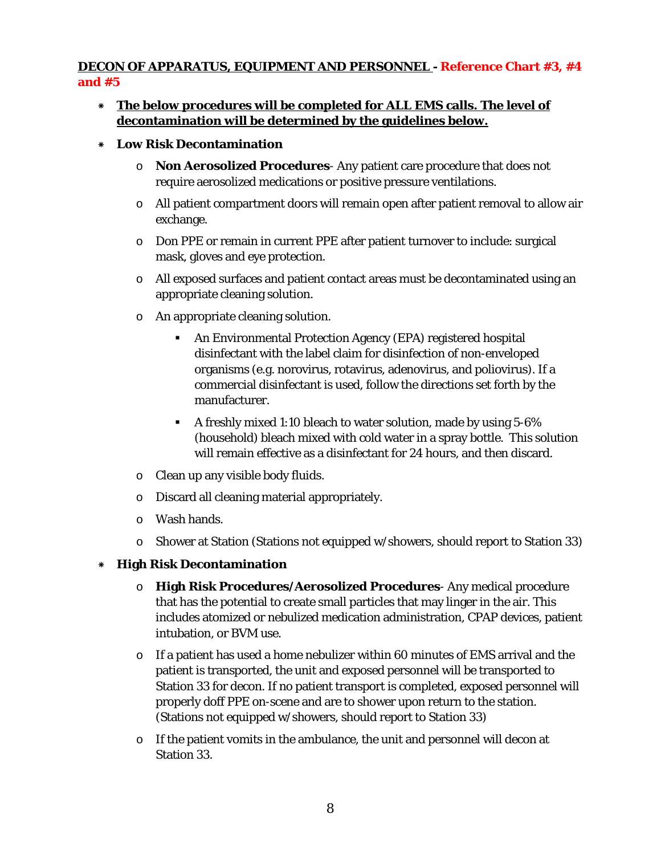## **DECON OF APPARATUS, EQUIPMENT AND PERSONNEL - Reference Chart #3, #4 and #5**

- \* **The below procedures will be completed for ALL EMS calls. The level of decontamination will be determined by the guidelines below.**
- \* **Low Risk Decontamination**
	- o **Non Aerosolized Procedures** Any patient care procedure that does not require aerosolized medications or positive pressure ventilations.
	- o All patient compartment doors will remain open after patient removal to allow air exchange.
	- o Don PPE or remain in current PPE after patient turnover to include: surgical mask, gloves and eye protection.
	- o All exposed surfaces and patient contact areas must be decontaminated using an appropriate cleaning solution.
	- o An appropriate cleaning solution.
		- An Environmental Protection Agency (EPA) registered hospital disinfectant with the label claim for disinfection of non-enveloped organisms (e.g. norovirus, rotavirus, adenovirus, and poliovirus). If a commercial disinfectant is used, follow the directions set forth by the manufacturer.
		- A freshly mixed 1:10 bleach to water solution, made by using 5-6% (household) bleach mixed with cold water in a spray bottle. This solution will remain effective as a disinfectant for 24 hours, and then discard.
	- o Clean up any visible body fluids.
	- o Discard all cleaning material appropriately.
	- o Wash hands.
	- o Shower at Station (Stations not equipped w/showers, should report to Station 33)
- \* **High Risk Decontamination**
	- o **High Risk Procedures/Aerosolized Procedures** Any medical procedure that has the potential to create small particles that may linger in the air. This includes atomized or nebulized medication administration, CPAP devices, patient intubation, or BVM use.
	- o If a patient has used a home nebulizer within 60 minutes of EMS arrival and the patient is transported, the unit and exposed personnel will be transported to Station 33 for decon. If no patient transport is completed, exposed personnel will properly doff PPE on-scene and are to shower upon return to the station. (Stations not equipped w/showers, should report to Station 33)
	- $\circ$  If the patient vomits in the ambulance, the unit and personnel will decon at Station 33.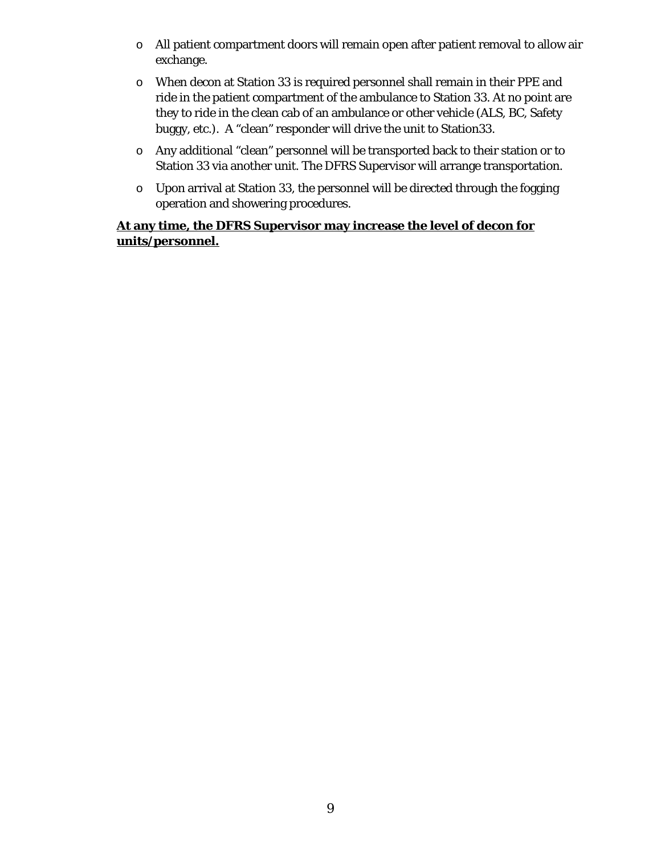- o All patient compartment doors will remain open after patient removal to allow air exchange.
- o When decon at Station 33 is required personnel shall remain in their PPE and ride in the patient compartment of the ambulance to Station 33. At no point are they to ride in the clean cab of an ambulance or other vehicle (ALS, BC, Safety buggy, etc.). A "clean" responder will drive the unit to Station33.
- o Any additional "clean" personnel will be transported back to their station or to Station 33 via another unit. The DFRS Supervisor will arrange transportation.
- o Upon arrival at Station 33, the personnel will be directed through the fogging operation and showering procedures.

## **At any time, the DFRS Supervisor may increase the level of decon for units/personnel.**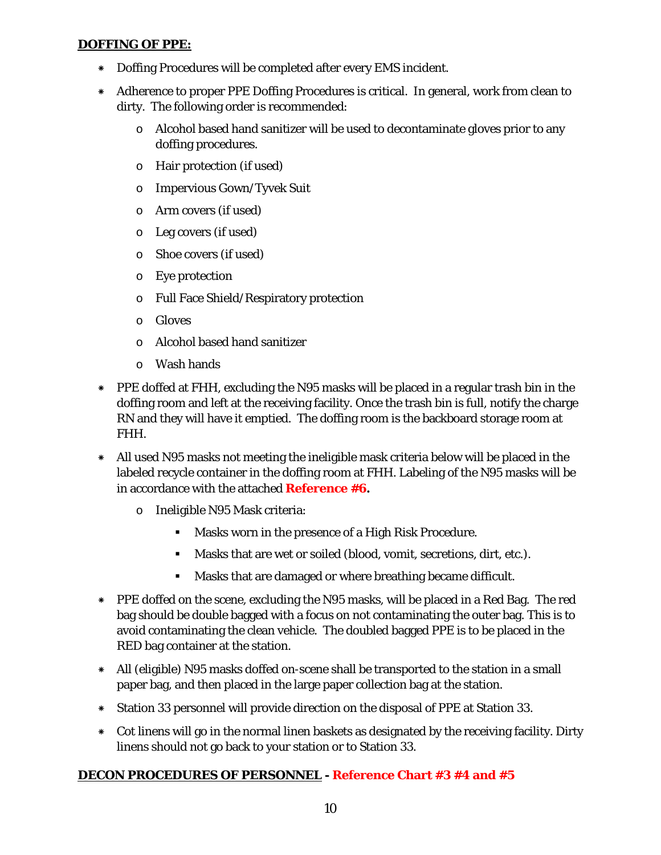## **DOFFING OF PPE:**

- \* Doffing Procedures will be completed after every EMS incident.
- \* Adherence to proper PPE Doffing Procedures is critical. In general, work from clean to dirty. The following order is recommended:
	- o Alcohol based hand sanitizer will be used to decontaminate gloves prior to any doffing procedures.
	- o Hair protection (if used)
	- o Impervious Gown/Tyvek Suit
	- o Arm covers (if used)
	- o Leg covers (if used)
	- o Shoe covers (if used)
	- o Eye protection
	- o Full Face Shield/Respiratory protection
	- o Gloves
	- o Alcohol based hand sanitizer
	- o Wash hands
- \* PPE doffed at FHH, excluding the N95 masks will be placed in a regular trash bin in the doffing room and left at the receiving facility. Once the trash bin is full, notify the charge RN and they will have it emptied. The doffing room is the backboard storage room at FHH.
- \* All used N95 masks not meeting the ineligible mask criteria below will be placed in the labeled recycle container in the doffing room at FHH. Labeling of the N95 masks will be in accordance with the attached **Reference #6.**
	- o Ineligible N95 Mask criteria:
		- Masks worn in the presence of a High Risk Procedure.
		- Masks that are wet or soiled (blood, vomit, secretions, dirt, etc.).
		- Masks that are damaged or where breathing became difficult.
- \* PPE doffed on the scene, excluding the N95 masks, will be placed in a Red Bag. The red bag should be double bagged with a focus on not contaminating the outer bag. This is to avoid contaminating the clean vehicle. The doubled bagged PPE is to be placed in the RED bag container at the station.
- \* All (eligible) N95 masks doffed on-scene shall be transported to the station in a small paper bag, and then placed in the large paper collection bag at the station.
- \* Station 33 personnel will provide direction on the disposal of PPE at Station 33.
- \* Cot linens will go in the normal linen baskets as designated by the receiving facility. Dirty linens should not go back to your station or to Station 33.

## **DECON PROCEDURES OF PERSONNEL - Reference Chart #3 #4 and #5**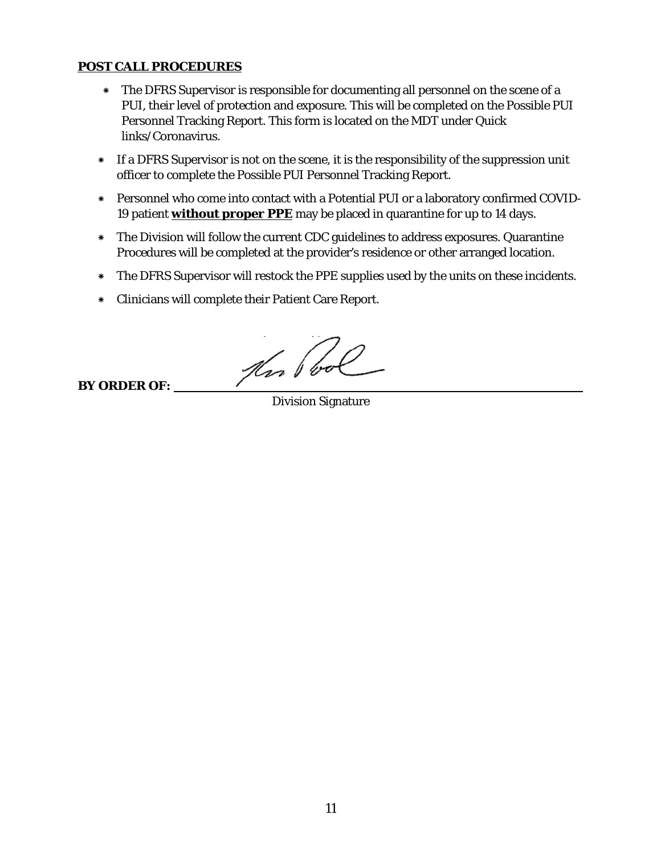## **POST CALL PROCEDURES**

- \* The DFRS Supervisor is responsible for documenting all personnel on the scene of a PUI, their level of protection and exposure. This will be completed on the Possible PUI Personnel Tracking Report. This form is located on the MDT under Quick links/Coronavirus.
- \* If a DFRS Supervisor is not on the scene, it is the responsibility of the suppression unit officer to complete the Possible PUI Personnel Tracking Report.
- \* Personnel who come into contact with a Potential PUI or a laboratory confirmed COVID-19 patient **without proper PPE** may be placed in quarantine for up to 14 days.
- \* The Division will follow the current CDC guidelines to address exposures. Quarantine Procedures will be completed at the provider's residence or other arranged location.
- \* The DFRS Supervisor will restock the PPE supplies used by the units on these incidents.
- \* Clinicians will complete their Patient Care Report.

fin Pool

**BY ORDER OF:** 

Division Signature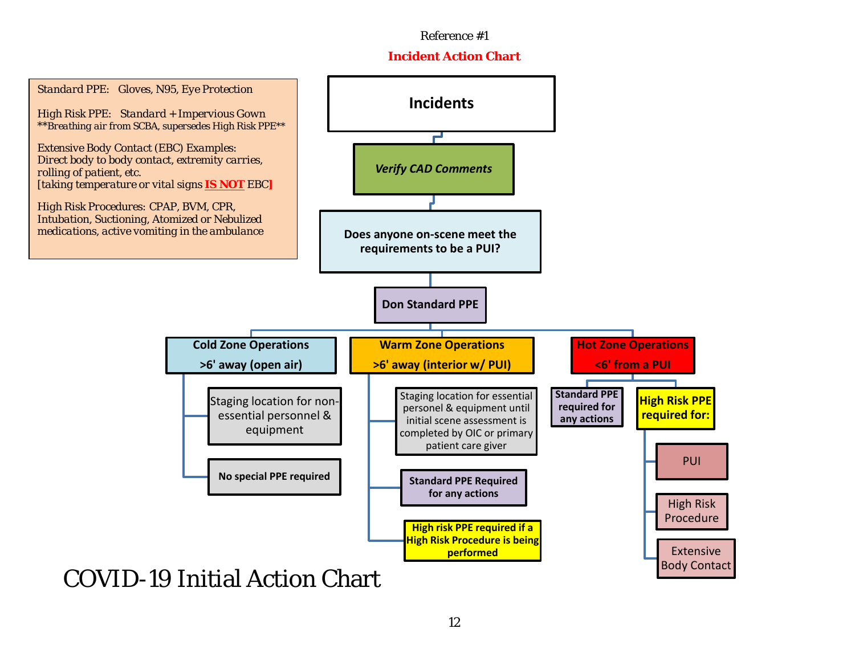## **Incident Action Chart**

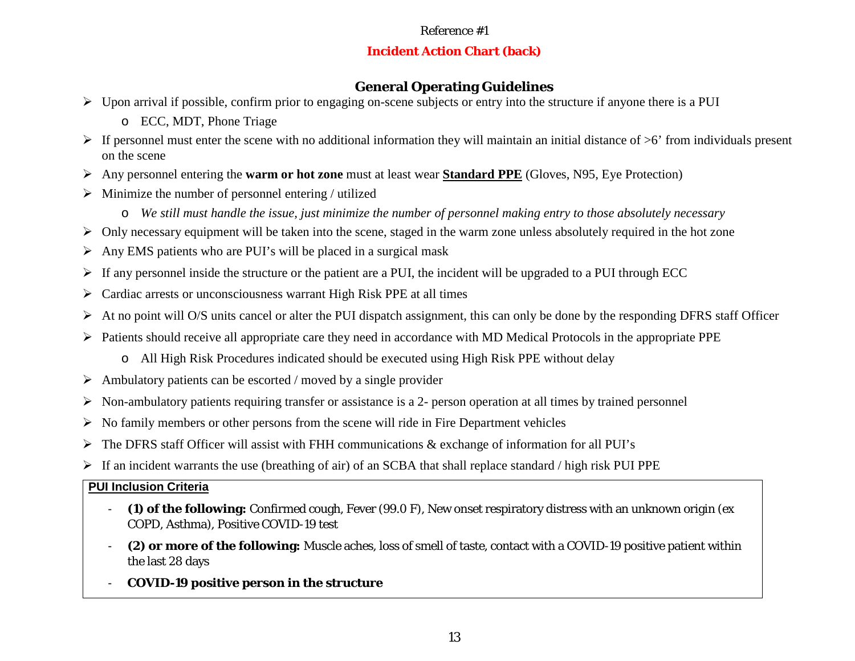## **Incident Action Chart (back)**

## **General Operating Guidelines**

- $\triangleright$  Upon arrival if possible, confirm prior to engaging on-scene subjects or entry into the structure if anyone there is a PUI
	- o ECC, MDT, Phone Triage
- $\triangleright$  If personnel must enter the scene with no additional information they will maintain an initial distance of  $\geq 6$ ' from individuals present on the scene
- Any personnel entering the **warm or hot zone** must at least wear **Standard PPE** (Gloves, N95, Eye Protection)
- $\triangleright$  Minimize the number of personnel entering / utilized
	- o *We still must handle the issue, just minimize the number of personnel making entry to those absolutely necessary*
- $\triangleright$  Only necessary equipment will be taken into the scene, staged in the warm zone unless absolutely required in the hot zone
- $\triangleright$  Any EMS patients who are PUI's will be placed in a surgical mask
- $\triangleright$  If any personnel inside the structure or the patient are a PUI, the incident will be upgraded to a PUI through ECC
- $\triangleright$  Cardiac arrests or unconsciousness warrant High Risk PPE at all times
- At no point will O/S units cancel or alter the PUI dispatch assignment, this can only be done by the responding DFRS staff Officer
- $\triangleright$  Patients should receive all appropriate care they need in accordance with MD Medical Protocols in the appropriate PPE
	- o All High Risk Procedures indicated should be executed using High Risk PPE without delay
- $\triangleright$  Ambulatory patients can be escorted / moved by a single provider
- $\triangleright$  Non-ambulatory patients requiring transfer or assistance is a 2- person operation at all times by trained personnel
- $\triangleright$  No family members or other persons from the scene will ride in Fire Department vehicles
- $\triangleright$  The DFRS staff Officer will assist with FHH communications & exchange of information for all PUI's
- $\triangleright$  If an incident warrants the use (breathing of air) of an SCBA that shall replace standard / high risk PUI PPE

## **PUI Inclusion Criteria**

- **(1) of the following:** Confirmed cough, Fever (99.0 F), New onset respiratory distress with an unknown origin (ex COPD, Asthma), Positive COVID-19 test
- **(2) or more of the following:** Muscle aches, loss of smell of taste, contact with a COVID-19 positive patient within the last 28 days
- **COVID-19 positive person in the structure**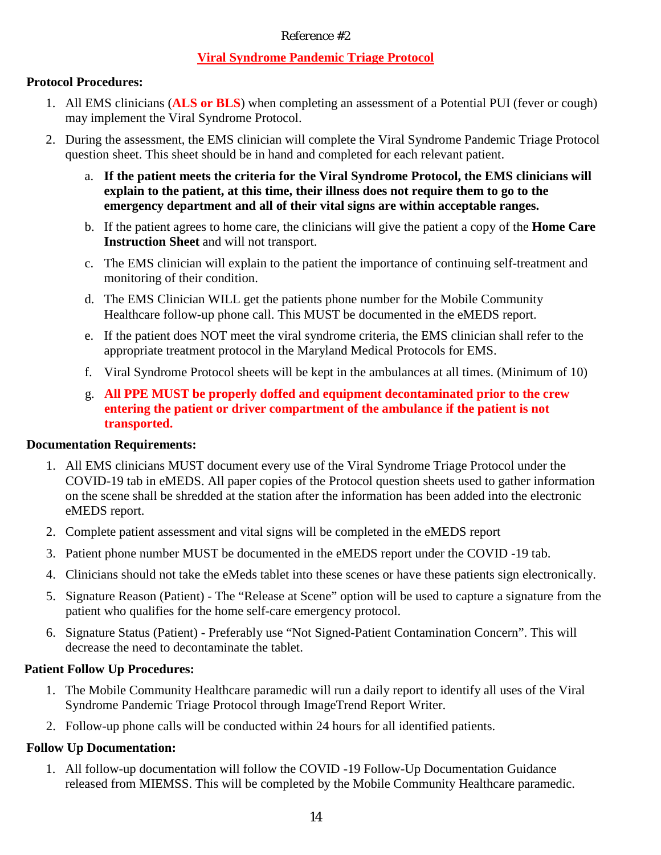## **Viral Syndrome Pandemic Triage Protocol**

## **Protocol Procedures:**

- 1. All EMS clinicians (**ALS or BLS**) when completing an assessment of a Potential PUI (fever or cough) may implement the Viral Syndrome Protocol.
- 2. During the assessment, the EMS clinician will complete the Viral Syndrome Pandemic Triage Protocol question sheet. This sheet should be in hand and completed for each relevant patient.
	- a. **If the patient meets the criteria for the Viral Syndrome Protocol, the EMS clinicians will explain to the patient, at this time, their illness does not require them to go to the emergency department and all of their vital signs are within acceptable ranges.**
	- b. If the patient agrees to home care, the clinicians will give the patient a copy of the **Home Care Instruction Sheet** and will not transport.
	- c. The EMS clinician will explain to the patient the importance of continuing self-treatment and monitoring of their condition.
	- d. The EMS Clinician WILL get the patients phone number for the Mobile Community Healthcare follow-up phone call. This MUST be documented in the eMEDS report.
	- e. If the patient does NOT meet the viral syndrome criteria, the EMS clinician shall refer to the appropriate treatment protocol in the Maryland Medical Protocols for EMS.
	- f. Viral Syndrome Protocol sheets will be kept in the ambulances at all times. (Minimum of 10)
	- g. **All PPE MUST be properly doffed and equipment decontaminated prior to the crew entering the patient or driver compartment of the ambulance if the patient is not transported.**

#### **Documentation Requirements:**

- 1. All EMS clinicians MUST document every use of the Viral Syndrome Triage Protocol under the COVID-19 tab in eMEDS. All paper copies of the Protocol question sheets used to gather information on the scene shall be shredded at the station after the information has been added into the electronic eMEDS report.
- 2. Complete patient assessment and vital signs will be completed in the eMEDS report
- 3. Patient phone number MUST be documented in the eMEDS report under the COVID -19 tab.
- 4. Clinicians should not take the eMeds tablet into these scenes or have these patients sign electronically.
- 5. Signature Reason (Patient) The "Release at Scene" option will be used to capture a signature from the patient who qualifies for the home self-care emergency protocol.
- 6. Signature Status (Patient) Preferably use "Not Signed-Patient Contamination Concern". This will decrease the need to decontaminate the tablet.

#### **Patient Follow Up Procedures:**

- 1. The Mobile Community Healthcare paramedic will run a daily report to identify all uses of the Viral Syndrome Pandemic Triage Protocol through ImageTrend Report Writer.
- 2. Follow-up phone calls will be conducted within 24 hours for all identified patients.

## **Follow Up Documentation:**

1. All follow-up documentation will follow the COVID -19 Follow-Up Documentation Guidance released from MIEMSS. This will be completed by the Mobile Community Healthcare paramedic.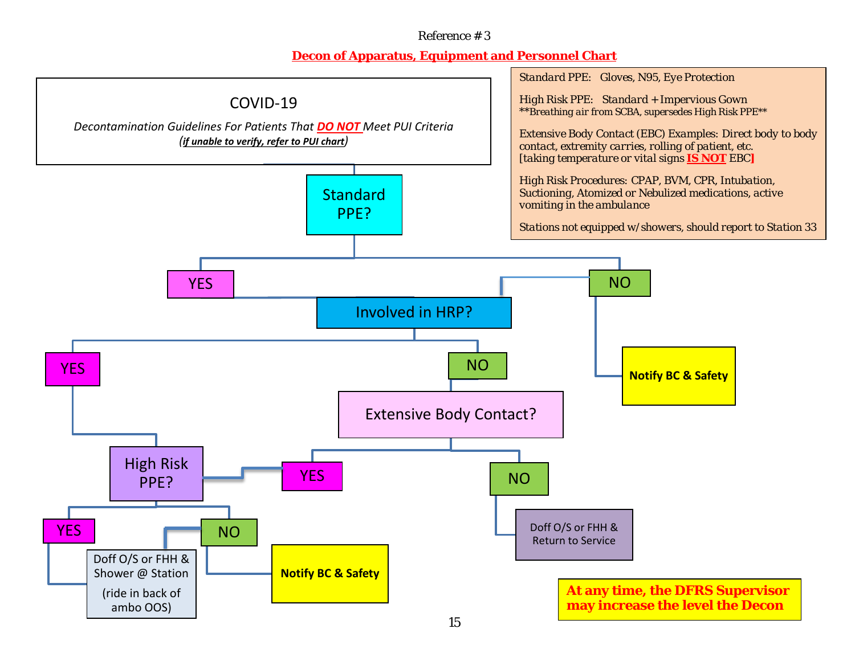## **Decon of Apparatus, Equipment and Personnel Chart**

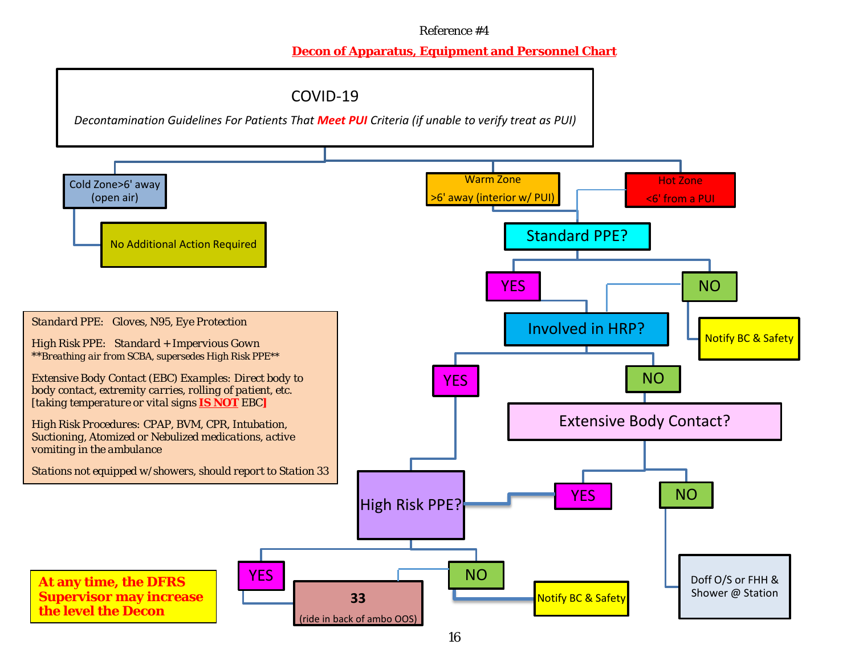## **Decon of Apparatus, Equipment and Personnel Chart**

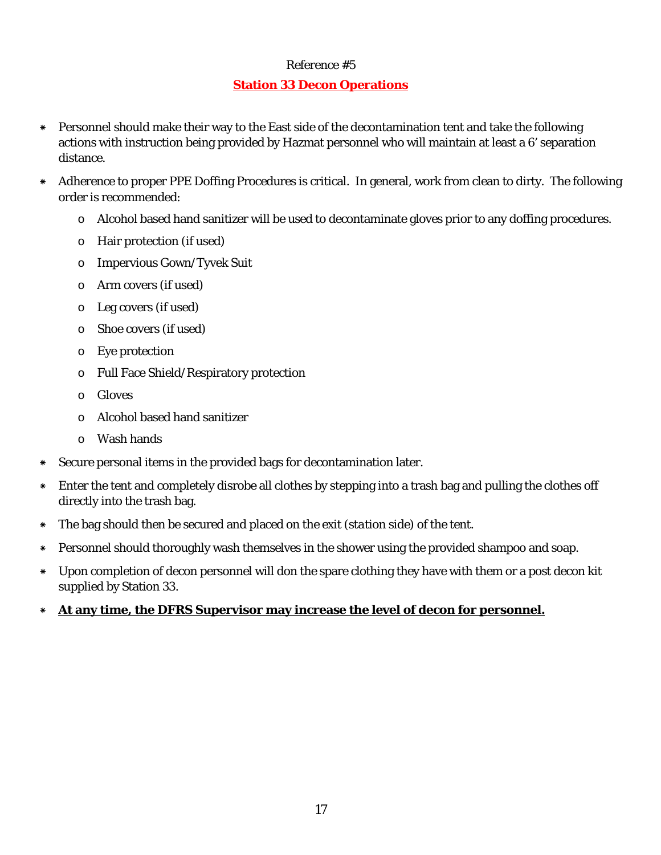## **Station 33 Decon Operations**

- \* Personnel should make their way to the East side of the decontamination tent and take the following actions with instruction being provided by Hazmat personnel who will maintain at least a 6' separation distance.
- \* Adherence to proper PPE Doffing Procedures is critical. In general, work from clean to dirty. The following order is recommended:
	- o Alcohol based hand sanitizer will be used to decontaminate gloves prior to any doffing procedures.
	- o Hair protection (if used)
	- o Impervious Gown/Tyvek Suit
	- o Arm covers (if used)
	- o Leg covers (if used)
	- o Shoe covers (if used)
	- o Eye protection
	- o Full Face Shield/Respiratory protection
	- o Gloves
	- o Alcohol based hand sanitizer
	- o Wash hands
- \* Secure personal items in the provided bags for decontamination later.
- \* Enter the tent and completely disrobe all clothes by stepping into a trash bag and pulling the clothes off directly into the trash bag.
- \* The bag should then be secured and placed on the exit (*station side*) of the tent.
- \* Personnel should thoroughly wash themselves in the shower using the provided shampoo and soap.
- \* Upon completion of decon personnel will don the spare clothing they have with them or a post decon kit supplied by Station 33.
- \* **At any time, the DFRS Supervisor may increase the level of decon for personnel.**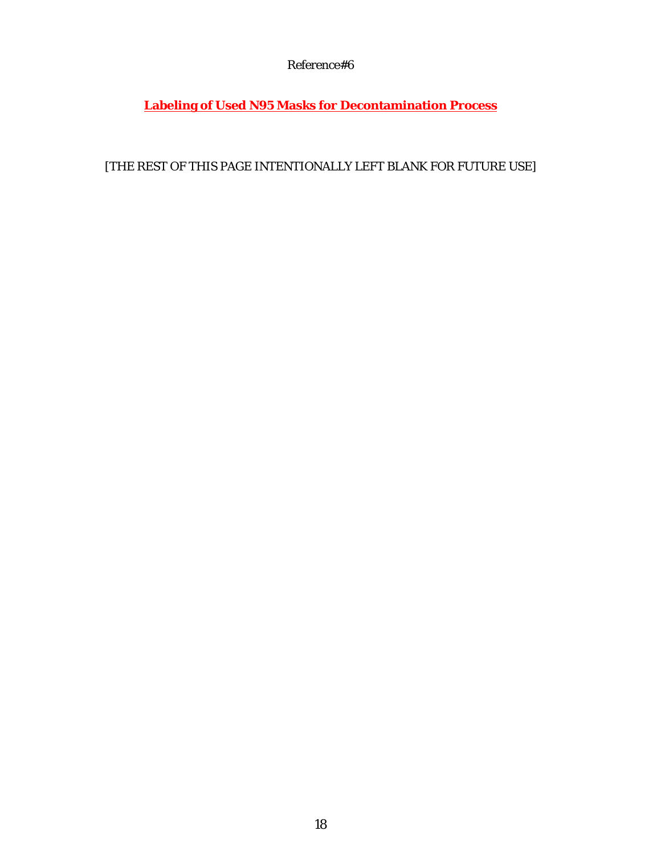**Labeling of Used N95 Masks for Decontamination Process**

[THE REST OF THIS PAGE INTENTIONALLY LEFT BLANK FOR FUTURE USE]